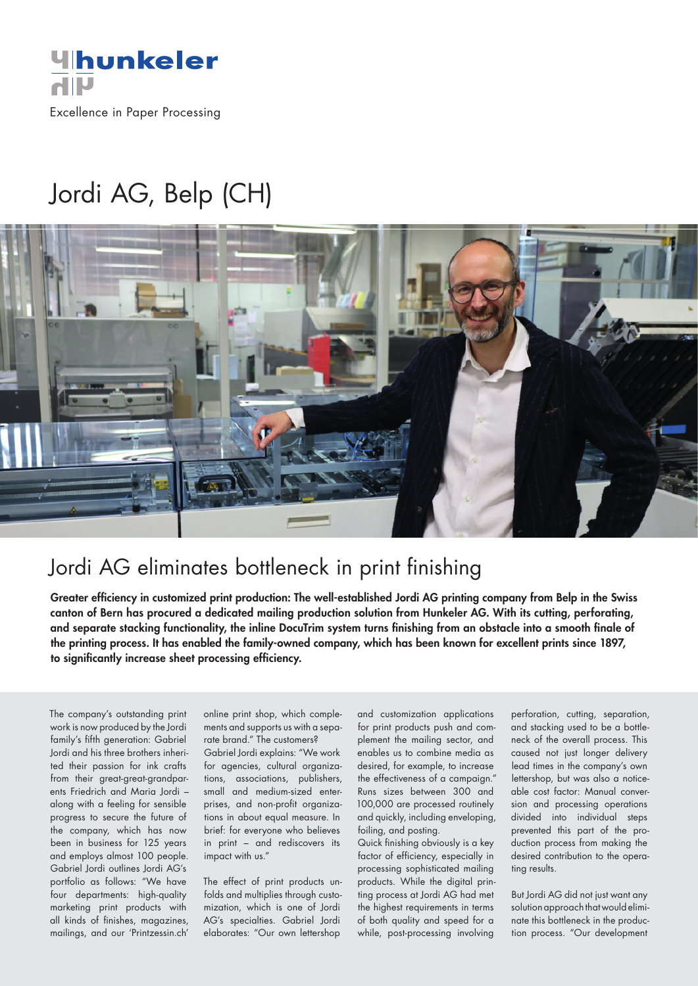

Excellence in Paper Processing

## Jordi AG, Belp (CH)



## Jordi AG eliminates bottleneck in print finishing

Greater efficiency in customized print production: The well-established Jordi AG printing company from Belp in the Swiss canton of Bern has procured a dedicated mailing production solution from Hunkeler AG. With its cutting, perforating, and separate stacking functionality, the inline DocuTrim system turns finishing from an obstacle into a smooth finale of the printing process. It has enabled the family-owned company, which has been known for excellent prints since 1897, to significantly increase sheet processing efficiency.

The company's outstanding print work is now produced by the Jordi family's fifth generation: Gabriel Jordi and his three brothers inherited their passion for ink crafts from their great-great-grandparents Friedrich and Maria Jordi – along with a feeling for sensible progress to secure the future of the company, which has now been in business for 125 years and employs almost 100 people. Gabriel Jordi outlines Jordi AG's portfolio as follows: "We have four departments: high-quality marketing print products with all kinds of finishes, magazines, mailings, and our 'Printzessin.ch'

online print shop, which complements and supports us with a separate brand." The customers?

Gabriel Jordi explains: "We work for agencies, cultural organizations, associations, publishers, small and medium-sized enterprises, and non-profit organizations in about equal measure. In brief: for everyone who believes in print – and rediscovers its impact with us."

The effect of print products unfolds and multiplies through customization, which is one of Jordi AG's specialties. Gabriel Jordi elaborates: "Our own lettershop

and customization applications for print products push and complement the mailing sector, and enables us to combine media as desired, for example, to increase the effectiveness of a campaign." Runs sizes between 300 and 100,000 are processed routinely and quickly, including enveloping, foiling, and posting.

Quick finishing obviously is a key factor of efficiency, especially in processing sophisticated mailing products. While the digital printing process at Jordi AG had met the highest requirements in terms of both quality and speed for a while, post-processing involving

perforation, cutting, separation, and stacking used to be a bottleneck of the overall process. This caused not just longer delivery lead times in the company's own lettershop, but was also a noticeable cost factor: Manual conversion and processing operations divided into individual steps prevented this part of the production process from making the desired contribution to the operating results.

But Jordi AG did not just want any solution approach that would eliminate this bottleneck in the production process. "Our development